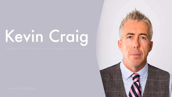# Kevin Craig

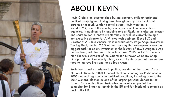

# ABOUT KEVIN

Kevin Craig is an accomplished business-person, philanthropist and political campaigner. Having been brought up by Irish immigrant parents on a south London council estate, Kevin went on to found PLMR, one of the country's most successful communications agencies. In addition to his ongoing role at PLMR, he is also an investor and shareholder in innovative start-ups, as well as currently being a non-executive director for AIM-listed tech business, Eleco PLC and Director at ATR Investments. He is a proud early-stage Angel Investor in The Big Deal, owning 2.5% of the company that subsequently saw the biggest cash for equity investment in the history of BBC's Dragon's Den before being sold for over £12 million. From 2015 until 2021 he was a Non-Executive Director of the £40 million turnover Company Shop Group and then Community Shop, its social enterprise that uses surplus food to improve lives and tackle food waste.

Kevin has broad experience in politics, working at the Labour Party National HQ in the 2001 General Election, standing for Parliament in 2005 and making significant political donations, including prior to the 2017 General Election as one of the largest personal donors to the Labour Party at that time. Kevin also financially supported the campaign for Britain to remain in the EU and for Scotland to remain as part of the UK.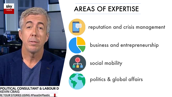

RE YOUR STORIES USING #PassOnPlastic

**KEVIN CRAIG** 

#### AREAS OF EXPERTISE



reputation and crisis management

business and entrepreneurship

social mobility



politics & global affairs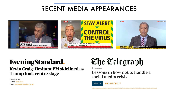#### RECENT MEDIA APPEARANCES



## **EveningStandard.**

#### Kevin Craig: Hesitant PM sidelined as **Trump took centre stage**

Have your say **Twitter: @esviews** Email: esviews@standard.co.uk



 $\hat{\mathbf{m}}$  > Business

Lessons in how not to handle a social media crisis

**KEVIN CRAIG** Follow  $\sim$